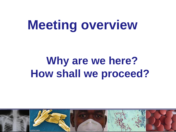# **Meeting overview**

# **Why are we here? How shall we proceed?**

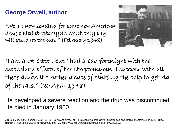#### **George Orwell, author**

"We are now sending for some new American drug called streptomycin which they say will speed up the cure." (February 1948)



"I am a lot better, but I had a bad fortnight with the secondary effects of the streptomycin. I suppose with all these drugs it's rather a case of sinking the ship to get rid of the rats." (20 April 1948)

He developed a severe reaction and the drug was discontinued. He died in January 1950.

J R Soc Med. 2006 February; 99(2): 95–98. Down and almost out in Scotland: George Orwell, tuberculosis and getting streptomycin in 1948 Hilda Bastian J R Soc Med. 2006 February; 99(2): 95–98. http://www.ncbi.nlm.nih.gov/pmc/articles/PMC1360500/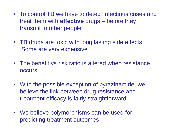- To control TB we have to detect infectious cases and treat them with **effective** drugs – before they transmit to other people
- TB drugs are toxic with long lasting side effects Some are very expensive
- The benefit vs risk ratio is altered when resistance **occurs**
- With the possible exception of pyrazinamide, we believe the link between drug resistance and treatment efficacy is fairly straightforward
- We believe polymorphisms can be used for predicting treatment outcomes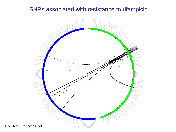#### SNPs associated with resistance to rifampicin



Courtesy Francesc Coll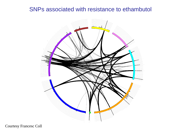#### SNPs associated with resistance to ethambutol



Courtesy Francesc Coll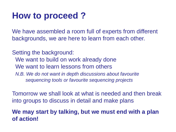### **How to proceed ?**

We have assembled a room full of experts from different backgrounds, we are here to learn from each other.

Setting the background: We want to build on work already done We want to learn lessons from others *N.B. We do not want in depth discussions about favourite sequencing tools or favourite sequencing projects*

Tomorrow we shall look at what is needed and then break into groups to discuss in detail and make plans

**We may start by talking, but we must end with a plan of action!**